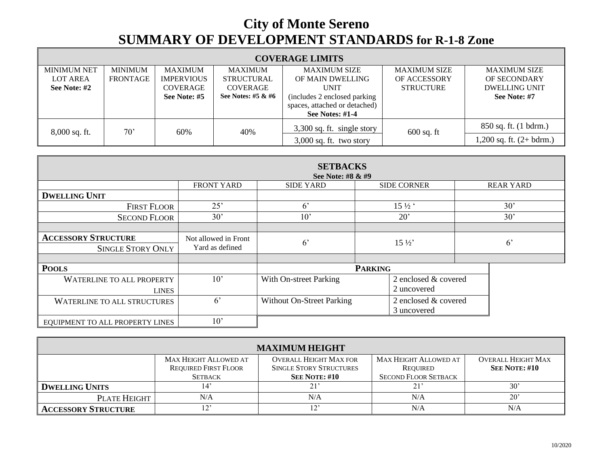## **City of Monte Sereno SUMMARY OF DEVELOPMENT STANDARDS for R-1-8 Zone**

г

| <b>COVERAGE LIMITS</b> |                 |                   |                      |                               |                     |                             |  |  |  |
|------------------------|-----------------|-------------------|----------------------|-------------------------------|---------------------|-----------------------------|--|--|--|
| <b>MINIMUM NET</b>     | <b>MINIMUM</b>  | <b>MAXIMUM</b>    | <b>MAXIMUM</b>       | <b>MAXIMUM SIZE</b>           | <b>MAXIMUM SIZE</b> | <b>MAXIMUM SIZE</b>         |  |  |  |
| LOT AREA               | <b>FRONTAGE</b> | <b>IMPERVIOUS</b> | <b>STRUCTURAL</b>    | OF MAIN DWELLING              | <b>OF ACCESSORY</b> | OF SECONDARY                |  |  |  |
| See Note: #2           |                 | <b>COVERAGE</b>   | <b>COVERAGE</b>      | UNIT                          | <b>STRUCTURE</b>    | <b>DWELLING UNIT</b>        |  |  |  |
|                        |                 | See Note: #5      | See Notes: #5 $&$ #6 | (includes 2 enclosed parking) |                     | See Note: #7                |  |  |  |
|                        |                 |                   |                      | spaces, attached or detached) |                     |                             |  |  |  |
|                        |                 |                   |                      | See Notes: $#1-4$             |                     |                             |  |  |  |
| $8,000$ sq. ft.        | $70^{\circ}$    | 60%               | 40%                  | 3,300 sq. ft. single story    | $600$ sq. ft        | 850 sq. ft. (1 bdrm.)       |  |  |  |
|                        |                 |                   |                      | $3,000$ sq. ft. two story     |                     | $1,200$ sq. ft. $(2+bdrm.)$ |  |  |  |

| <b>SETBACKS</b><br>See Note: #8 & #9 |                      |                                  |                    |                      |                  |  |  |  |
|--------------------------------------|----------------------|----------------------------------|--------------------|----------------------|------------------|--|--|--|
|                                      | FRONT YARD           | <b>SIDE YARD</b>                 | <b>SIDE CORNER</b> |                      | <b>REAR YARD</b> |  |  |  |
| <b>DWELLING UNIT</b>                 |                      |                                  |                    |                      |                  |  |  |  |
| <b>FIRST FLOOR</b>                   | 25'                  | 6 <sup>2</sup>                   | $15\frac{1}{2}$    |                      | 30'              |  |  |  |
| <b>SECOND FLOOR</b>                  | 30'                  | $10^{\circ}$                     | 20'                | 30'                  |                  |  |  |  |
|                                      |                      |                                  |                    |                      |                  |  |  |  |
| <b>ACCESSORY STRUCTURE</b>           | Not allowed in Front | $6^{\circ}$                      | $15\frac{1}{2}$    |                      | $6^{\circ}$      |  |  |  |
| <b>SINGLE STORY ONLY</b>             | Yard as defined      |                                  |                    |                      |                  |  |  |  |
|                                      |                      |                                  |                    |                      |                  |  |  |  |
| <b>POOLS</b>                         |                      | <b>PARKING</b>                   |                    |                      |                  |  |  |  |
| <b>WATERLINE TO ALL PROPERTY</b>     | $10^{\circ}$         | With On-street Parking           |                    | 2 enclosed & covered |                  |  |  |  |
| <b>LINES</b>                         |                      |                                  | 2 uncovered        |                      |                  |  |  |  |
| <b>WATERLINE TO ALL STRUCTURES</b>   | $6^{\circ}$          | <b>Without On-Street Parking</b> |                    | 2 enclosed & covered |                  |  |  |  |
|                                      |                      |                                  | 3 uncovered        |                      |                  |  |  |  |
| EQUIPMENT TO ALL PROPERTY LINES      | 10'                  |                                  |                    |                      |                  |  |  |  |

| <b>MAXIMUM HEIGHT</b>      |                             |                                |                              |                           |  |  |  |  |  |
|----------------------------|-----------------------------|--------------------------------|------------------------------|---------------------------|--|--|--|--|--|
|                            | MAX HEIGHT ALLOWED AT       | <b>OVERALL HEIGHT MAX FOR</b>  | <b>MAX HEIGHT ALLOWED AT</b> | <b>OVERALL HEIGHT MAX</b> |  |  |  |  |  |
|                            | <b>REQUIRED FIRST FLOOR</b> | <b>SINGLE STORY STRUCTURES</b> | REQUIRED                     | <b>SEE NOTE: #10</b>      |  |  |  |  |  |
|                            | <b>SETBACK</b>              | <b>SEE NOTE: #10</b>           | <b>SECOND FLOOR SETBACK</b>  |                           |  |  |  |  |  |
| <b>DWELLING UNITS</b>      | $\mathbf{14}^{\circ}$       | 21'                            | 21'                          | 30'                       |  |  |  |  |  |
| PLATE HEIGHT               | N/A                         | N/A                            | N/A                          | $20^{\circ}$              |  |  |  |  |  |
| <b>ACCESSORY STRUCTURE</b> |                             | 1 n 1<br>- ⊥                   | N/A                          | N/A                       |  |  |  |  |  |